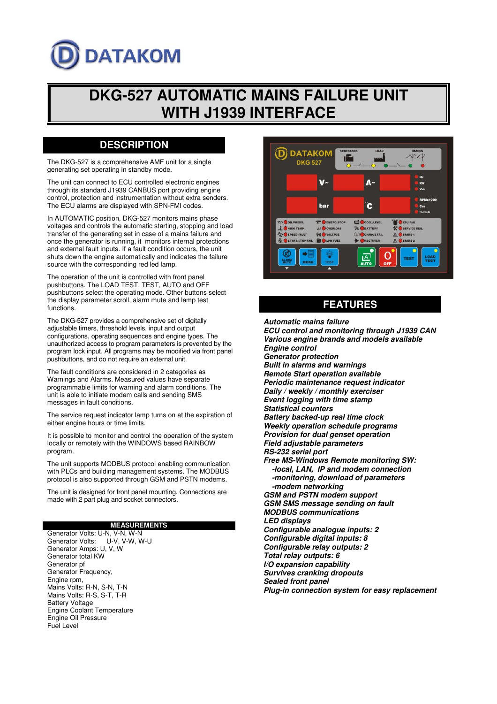# **DATAKOM**

## **DKG-527 AUTOMATIC MAINS FAILURE UNIT WITH J1939 INTERFACE**

## **DESCRIPTION**

The DKG-527 is a comprehensive AMF unit for a single generating set operating in standby mode.

The unit can connect to ECU controlled electronic engines through its standard J1939 CANBUS port providing engine control, protection and instrumentation without extra senders. The ECU alarms are displayed with SPN-FMI codes.

In AUTOMATIC position, DKG-527 monitors mains phase voltages and controls the automatic starting, stopping and load transfer of the generating set in case of a mains failure and once the generator is running, it monitors internal protections and external fault inputs. If a fault condition occurs, the unit shuts down the engine automatically and indicates the failure source with the corresponding red led lamp.

The operation of the unit is controlled with front panel pushbuttons. The LOAD TEST, TEST, AUTO and OFF pushbuttons select the operating mode. Other buttons select the display parameter scroll, alarm mute and lamp test functions.

The DKG-527 provides a comprehensive set of digitally adjustable timers, threshold levels, input and output configurations, operating sequences and engine types. The unauthorized access to program parameters is prevented by the program lock input. All programs may be modified via front panel pushbuttons, and do not require an external unit.

The fault conditions are considered in 2 categories as Warnings and Alarms. Measured values have separate programmable limits for warning and alarm conditions. The unit is able to initiate modem calls and sending SMS messages in fault conditions.

The service request indicator lamp turns on at the expiration of either engine hours or time limits.

It is possible to monitor and control the operation of the system locally or remotely with the WINDOWS based RAINBOW program.

The unit supports MODBUS protocol enabling communication with PLCs and building management systems. The MODBUS protocol is also supported through GSM and PSTN modems.

The unit is designed for front panel mounting. Connections are made with 2 part plug and socket connectors.

#### **MEASUREMENTS**

Generator Volts: U-N, V-N, W-N<br>Generator Volts: U-V, V-W, W-U Generator Volts: Generator Amps: U, V, W Generator total KW Generator pf Generator Frequency, Engine rpm, Mains Volts: R-N, S-N, T-N Mains Volts: R-S, S-T, T-R Battery Voltage Engine Coolant Temperature Engine Oil Pressure Fuel Level



## **FEATURES**

**Automatic mains failure ECU control and monitoring through J1939 CAN Various engine brands and models available Engine control Generator protection Built in alarms and warnings Remote Start operation available Periodic maintenance request indicator Daily / weekly / monthly exerciser Event logging with time stamp Statistical counters Battery backed-up real time clock Weekly operation schedule programs Provision for dual genset operation Field adjustable parameters RS-232 serial port Free MS-Windows Remote monitoring SW: -local, LAN, IP and modem connection -monitoring, download of parameters -modem networking GSM and PSTN modem support GSM SMS message sending on fault MODBUS communications LED displays Configurable analogue inputs: 2 Configurable digital inputs: 8 Configurable relay outputs: 2 Total relay outputs: 6 I/O expansion capability Survives cranking dropouts Sealed front panel Plug-in connection system for easy replacement**